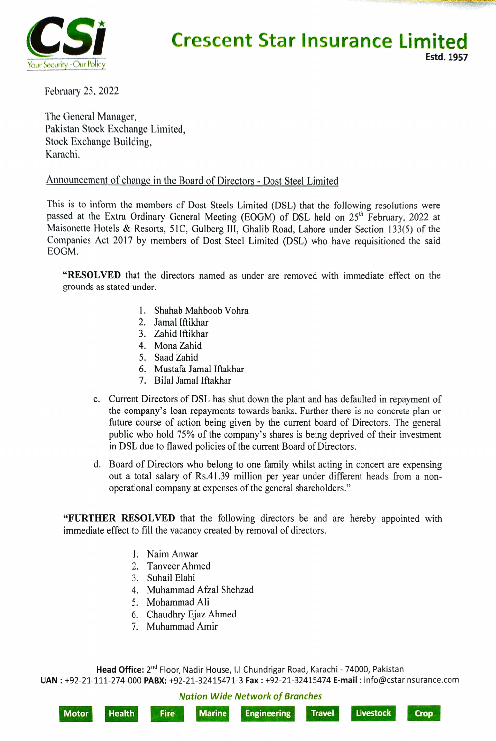

## **Crescent Star Insurance Limited** Estd. 1957

February 25, 2022

The General Manager, Pakistan Stock Exchange Limited, Stock Exchange Building, Karachi.

## Announcement of change in the Board of Directors - Dost Steel Limited

This is to inform the members of Dost Steels Limited (DSL) that the following resolutions were passed at the Extra Ordinary General Meeting (EOGM) of DSL held on 25<sup>th</sup> February, 2022 at Maisonette Hotels & Resorts, 51C, Gulberg II1, Ghalib Road, Lahore under Section 133(5) of the Companies Act 2017 by members of Dost Steel Limited (DSL) who have requisitioned the said EOGM.

"RESOLVED that the directors named as under are removed with immediate effect on the grounds as stated under.

- 1. Shahab Mahboob Vohra
- 2. Jamal Iftikhar
- 3. Zahid Iftikhar
- 4. Mona Zahid
- 5. Saad Zahid
- 6. Mustafa Jamal Iftakhar
- 7. Bilal Jamal Iftakhar
- c. Current Directors of DSL has shut down the plant and has defaulted in repayment of the company's loan repayments towards banks. Further there is no concrete plan or future course of action being given by the current board of Directors. The general public who hold 75% of the company's shares is being deprived of their investment in DSL due to flawed policies of the current Board of Directors.
- d. Board of Directors who belong to one family whilst acting in concert are expensing out a total salary of Rs.41.39 million per year under different heads from a nonoperational company at expenses of the general shareholders."

"FURTHER RESOLVED that the following directors be and are hereby appointed with immediate effect to fill the vacancy created by removal of directors.

- 1. Naim Anwar
- 2. Tanveer Ahmed
- 3. Suhail Elahi
- Muhammad Afzal Shehzad
- Mohammad Ali
- 6. Chaudhry Ejaz Ahmed
- 7. Muhammad Amir

Head Office: 2<sup>nd</sup> Floor, Nadir House, I.I Chundrigar Road, Karachi - 74000, Pakistan UAN: +92-21-111-274-000 PABX: +92-21-32415471-3 Fax: +92-21-32415474 E-mail: info@cstarinsurance.com

Nation Wide Network of Branches